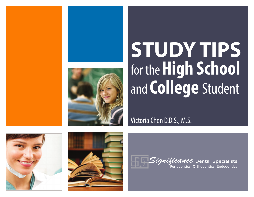

# **STUDY TIPS** for the**High School** and **College** Student

Victoria Chen D.D.S., M.S.







*Significance* Dental Specialists Periodontics Orthodontics Endodontics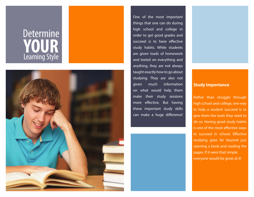## **Determine YOUR** Learning Style



One of the most important things that one can do during high school and college in order to get good grades and succeed is to have effective study habits. While students are given loads of homework and tested on everything and anything, they are not always taught exactly how to go about studying. They are also not given much information on what would help them make their study sessions more effective. But having these important study skills can make a huge di fference!

### **Study Importance**

Rather than struggle through high school and college, one way to help a student succeed is to give them the tools they need to do so. Having good study habits is one of the most effective ways to succeed in school. Effective studying goes far beyond just opening a book and reading the pages. If it were that simple, everyone would be great at it!